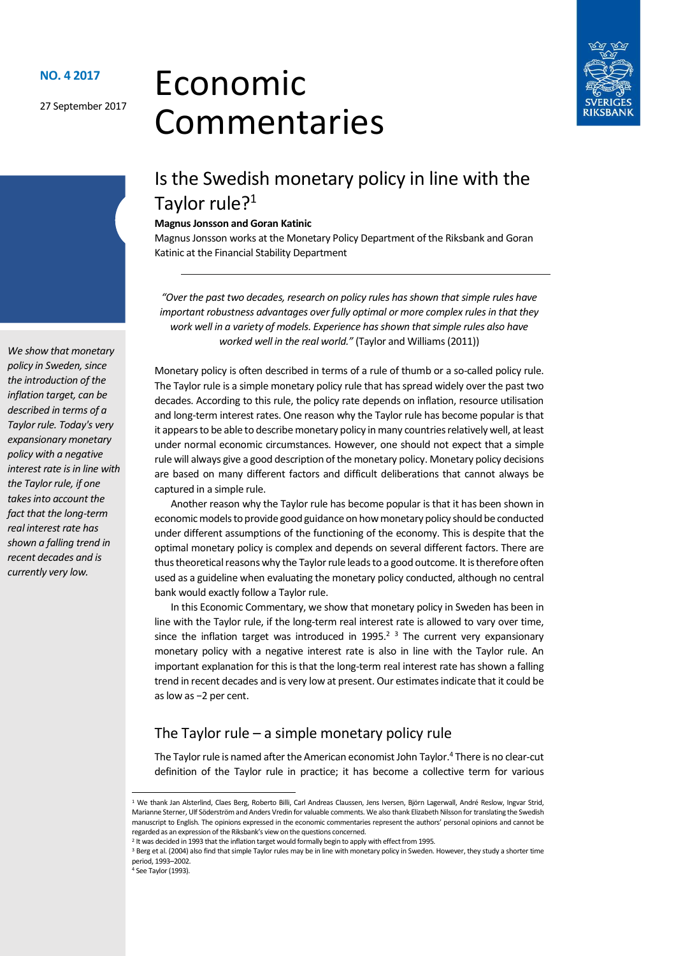27 September 2017

# Economic Commentaries



# Is the Swedish monetary policy in line with the Taylor rule?<sup>1</sup>

#### Magnus Jonsson and Goran Katinic

Magnus Jonsson works at the Monetary Policy Department of the Riksbank and Goran Katinic at the Financial Stability Department

"Over the past two decades, research on policy rules has shown that simple rules have important robustness advantages over fully optimal or more complex rules in that they work well in a variety of models. Experience has shown that simple rules also have worked well in the real world." (Taylor and Williams (2011))

Monetary policy is often described in terms of a rule of thumb or a so-called policy rule. The Taylor rule is a simple monetary policy rule that has spread widely over the past two decades. According to this rule, the policy rate depends on inflation, resource utilisation and long-term interest rates. One reason why the Taylor rule has become popular is that it appears to be able to describe monetary policy in many countries relatively well, at least under normal economic circumstances. However, one should not expect that a simple rule will always give a good description of the monetary policy. Monetary policy decisions are based on many different factors and difficult deliberations that cannot always be captured in a simple rule.

Another reason why the Taylor rule has become popular is that it has been shown in economic models to provide good guidance on how monetary policy should be conducted under different assumptions of the functioning of the economy. This is despite that the optimal monetary policy is complex and depends on several different factors. There are thus theoretical reasons why the Taylor rule leads to a good outcome. It is therefore often used as a guideline when evaluating the monetary policy conducted, although no central bank would exactly follow a Taylor rule.

In this Economic Commentary, we show that monetary policy in Sweden has been in line with the Taylor rule, if the long-term real interest rate is allowed to vary over time, since the inflation target was introduced in 1995. $2<sup>3</sup>$  The current very expansionary monetary policy with a negative interest rate is also in line with the Taylor rule. An important explanation for this is that the long-term real interest rate has shown a falling trend in recent decades and is very low at present. Our estimates indicate that it could be as low as −2 per cent.

# The Taylor rule  $-$  a simple monetary policy rule

The Taylor rule is named after the American economist John Taylor.<sup>4</sup> There is no clear-cut definition of the Taylor rule in practice; it has become a collective term for various

4 See Taylor (1993).

1

We show that monetary policy in Sweden, since the introduction of the inflation target, can be described in terms of a Taylor rule. Today's very expansionary monetary policy with a negative interest rate is in line with the Taylor rule, if one takes into account the fact that the long-term real interest rate has shown a falling trend in recent decades and is currently very low.

<sup>1</sup> We thank Jan Alsterlind, Claes Berg, Roberto Billi, Carl Andreas Claussen, Jens Iversen, Björn Lagerwall, André Reslow, Ingvar Strid, Marianne Sterner, Ulf Söderström and Anders Vredin for valuable comments. We also thank Elizabeth Nilsson for translating the Swedish manuscript to English. The opinions expressed in the economic commentaries represent the authors' personal opinions and cannot be regarded as an expression of the Riksbank's view on the questions concerned.

<sup>&</sup>lt;sup>2</sup> It was decided in 1993 that the inflation target would formally begin to apply with effect from 1995.

<sup>&</sup>lt;sup>3</sup> Berg et al. (2004) also find that simple Taylor rules may be in line with monetary policy in Sweden. However, they study a shorter time period, 1993–2002.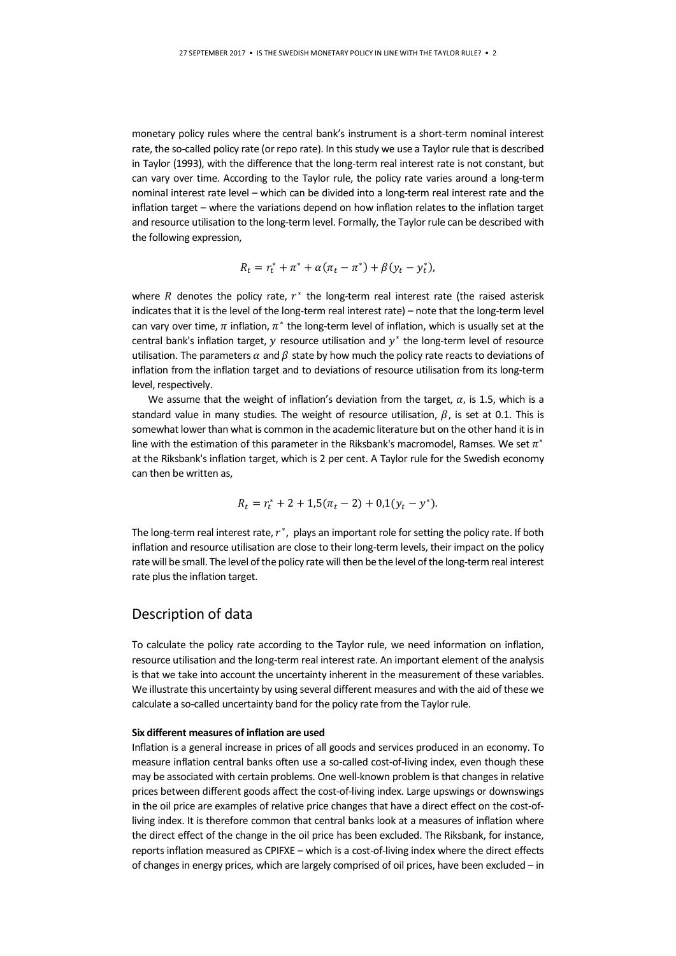monetary policy rules where the central bank's instrument is a short-term nominal interest rate, the so-called policy rate (or repo rate). In this study we use a Taylor rule that is described in Taylor (1993), with the difference that the long-term real interest rate is not constant, but can vary over time. According to the Taylor rule, the policy rate varies around a long-term nominal interest rate level – which can be divided into a long-term real interest rate and the inflation target – where the variations depend on how inflation relates to the inflation target and resource utilisation to the long-term level. Formally, the Taylor rule can be described with the following expression,

$$
R_t = r_t^* + \pi^* + \alpha(\pi_t - \pi^*) + \beta(y_t - y_t^*),
$$

where  $R$  denotes the policy rate,  $r^*$  the long-term real interest rate (the raised asterisk indicates that it is the level of the long-term real interest rate) – note that the long-term level can vary over time,  $\pi$  inflation,  $\pi^*$  the long-term level of inflation, which is usually set at the central bank's inflation target,  $y$  resource utilisation and  $y^*$  the long-term level of resource utilisation. The parameters  $\alpha$  and  $\beta$  state by how much the policy rate reacts to deviations of inflation from the inflation target and to deviations of resource utilisation from its long-term level, respectively.

We assume that the weight of inflation's deviation from the target,  $\alpha$ , is 1.5, which is a standard value in many studies. The weight of resource utilisation,  $\beta$ , is set at 0.1. This is somewhat lower than what is common in the academic literature but on the other hand it is in line with the estimation of this parameter in the Riksbank's macromodel, Ramses. We set  $\pi^*$ at the Riksbank's inflation target, which is 2 per cent. A Taylor rule for the Swedish economy can then be written as,

$$
R_t = r_t^* + 2 + 1.5(\pi_t - 2) + 0.1(y_t - y^*).
$$

The long-term real interest rate,  $r^*$ , plays an important role for setting the policy rate. If both inflation and resource utilisation are close to their long-term levels, their impact on the policy rate will be small. The level of the policy rate will then be the level of the long-term real interest rate plus the inflation target.

### Description of data

To calculate the policy rate according to the Taylor rule, we need information on inflation, resource utilisation and the long-term real interest rate. An important element of the analysis is that we take into account the uncertainty inherent in the measurement of these variables. We illustrate this uncertainty by using several different measures and with the aid of these we calculate a so-called uncertainty band for the policy rate from the Taylor rule.

#### Six different measures of inflation are used

Inflation is a general increase in prices of all goods and services produced in an economy. To measure inflation central banks often use a so-called cost-of-living index, even though these may be associated with certain problems. One well-known problem is that changes in relative prices between different goods affect the cost-of-living index. Large upswings or downswings in the oil price are examples of relative price changes that have a direct effect on the cost-ofliving index. It is therefore common that central banks look at a measures of inflation where the direct effect of the change in the oil price has been excluded. The Riksbank, for instance, reports inflation measured as CPIFXE – which is a cost-of-living index where the direct effects of changes in energy prices, which are largely comprised of oil prices, have been excluded – in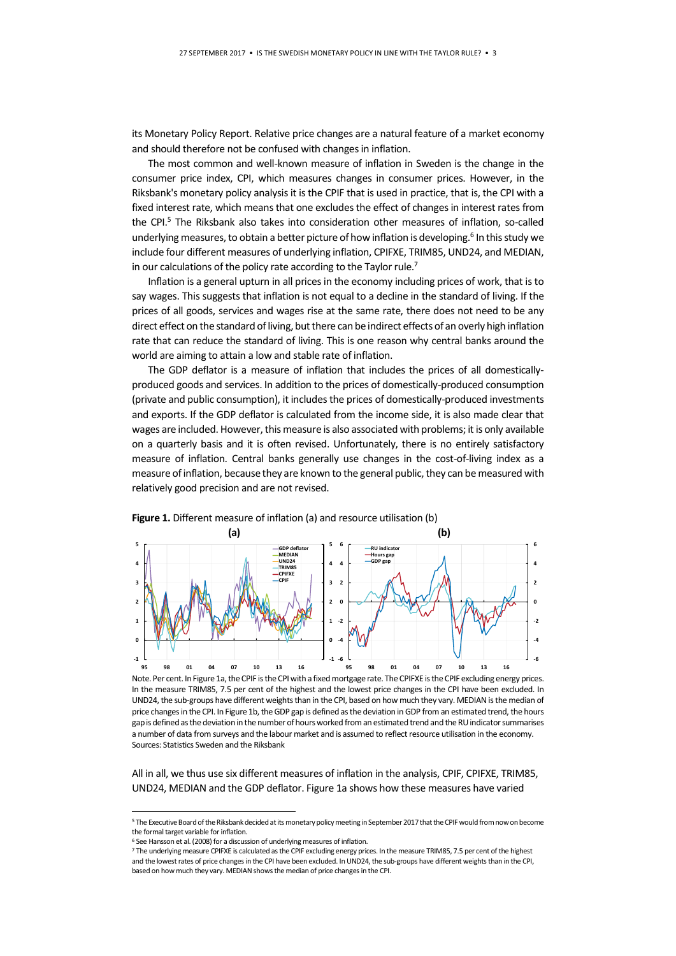its Monetary Policy Report. Relative price changes are a natural feature of a market economy and should therefore not be confused with changes in inflation.

The most common and well-known measure of inflation in Sweden is the change in the consumer price index, CPI, which measures changes in consumer prices. However, in the Riksbank's monetary policy analysis it is the CPIF that is used in practice, that is, the CPI with a fixed interest rate, which means that one excludes the effect of changes in interest rates from the CPI.<sup>5</sup> The Riksbank also takes into consideration other measures of inflation, so-called underlying measures, to obtain a better picture of how inflation is developing.<sup>6</sup> In this study we include four different measures of underlying inflation, CPIFXE, TRIM85, UND24, and MEDIAN, in our calculations of the policy rate according to the Taylor rule.<sup>7</sup>

Inflation is a general upturn in all prices in the economy including prices of work, that is to say wages. This suggests that inflation is not equal to a decline in the standard of living. If the prices of all goods, services and wages rise at the same rate, there does not need to be any direct effect on the standard of living, but there can be indirect effects of an overly high inflation rate that can reduce the standard of living. This is one reason why central banks around the world are aiming to attain a low and stable rate of inflation.

The GDP deflator is a measure of inflation that includes the prices of all domesticallyproduced goods and services. In addition to the prices of domestically-produced consumption (private and public consumption), it includes the prices of domestically-produced investments and exports. If the GDP deflator is calculated from the income side, it is also made clear that wages are included. However, this measure is also associated with problems; it is only available on a quarterly basis and it is often revised. Unfortunately, there is no entirely satisfactory measure of inflation. Central banks generally use changes in the cost-of-living index as a measure of inflation, because they are known to the general public, they can be measured with relatively good precision and are not revised.



Note. Per cent. In Figure 1a, the CPIF is the CPI with a fixed mortgage rate. The CPIFXE is the CPIF excluding energy prices. In the measure TRIM85, 7.5 per cent of the highest and the lowest price changes in the CPI have been excluded. In UND24, the sub-groups have different weights than in the CPI, based on how much they vary. MEDIAN is the median of price changes in the CPI. In Figure 1b, the GDP gap is defined as the deviation in GDP from an estimated trend, the hours gap is defined as the deviation in the number of hours worked from an estimated trend and the RU indicator summarises a number of data from surveys and the labour market and is assumed to reflect resource utilisation in the economy. Sources: Statistics Sweden and the Riksbank

All in all, we thus use six different measures of inflation in the analysis, CPIF, CPIFXE, TRIM85, UND24, MEDIAN and the GDP deflator. Figure 1a shows how these measures have varied

-

<sup>5</sup> The Executive Board of the Riksbank decided at its monetary policy meeting in September 2017 that the CPIF would from now on become the formal target variable for inflation.

<sup>6</sup> See Hansson et al. (2008) for a discussion of underlying measures of inflation.

<sup>7</sup> The underlying measure CPIFXE is calculated as the CPIF excluding energy prices. In the measure TRIM85, 7.5 per cent of the highest and the lowest rates of price changes in the CPI have been excluded. In UND24, the sub-groups have different weights than in the CPI, based on how much they vary. MEDIAN shows the median of price changes in the CPI.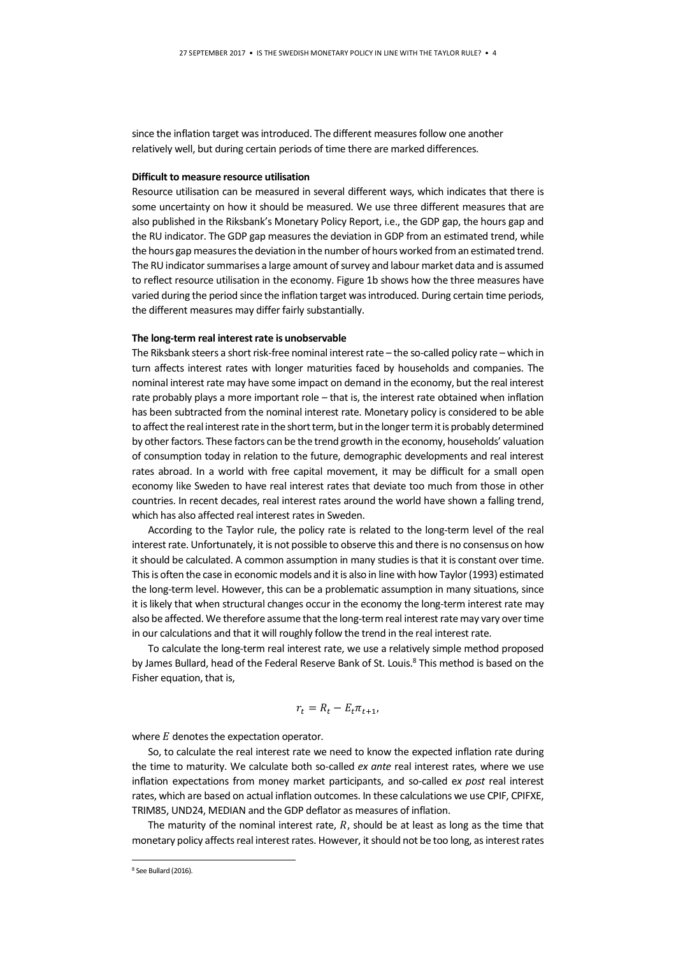since the inflation target was introduced. The different measures follow one another relatively well, but during certain periods of time there are marked differences.

#### Difficult to measure resource utilisation

Resource utilisation can be measured in several different ways, which indicates that there is some uncertainty on how it should be measured. We use three different measures that are also published in the Riksbank's Monetary Policy Report, i.e., the GDP gap, the hours gap and the RU indicator. The GDP gap measures the deviation in GDP from an estimated trend, while the hours gap measures the deviation in the number of hours worked from an estimated trend. The RU indicator summarises a large amount of survey and labour market data and is assumed to reflect resource utilisation in the economy. Figure 1b shows how the three measures have varied during the period since the inflation target was introduced. During certain time periods, the different measures may differ fairly substantially.

#### The long-term real interest rate is unobservable

The Riksbank steers a short risk-free nominal interest rate – the so-called policy rate – which in turn affects interest rates with longer maturities faced by households and companies. The nominal interest rate may have some impact on demand in the economy, but the real interest rate probably plays a more important role – that is, the interest rate obtained when inflation has been subtracted from the nominal interest rate. Monetary policy is considered to be able to affect the real interest rate in the short term, but in the longer term it is probably determined by other factors. These factors can be the trend growth in the economy, households' valuation of consumption today in relation to the future, demographic developments and real interest rates abroad. In a world with free capital movement, it may be difficult for a small open economy like Sweden to have real interest rates that deviate too much from those in other countries. In recent decades, real interest rates around the world have shown a falling trend, which has also affected real interest rates in Sweden.

According to the Taylor rule, the policy rate is related to the long-term level of the real interest rate. Unfortunately, it is not possible to observe this and there is no consensus on how it should be calculated. A common assumption in many studies is that it is constant over time. This is often the case in economic models and it is also in line with how Taylor (1993) estimated the long-term level. However, this can be a problematic assumption in many situations, since it is likely that when structural changes occur in the economy the long-term interest rate may also be affected. We therefore assume that the long-term real interest rate may vary over time in our calculations and that it will roughly follow the trend in the real interest rate.

To calculate the long-term real interest rate, we use a relatively simple method proposed by James Bullard, head of the Federal Reserve Bank of St. Louis.<sup>8</sup> This method is based on the Fisher equation, that is,

$$
r_t = R_t - E_t \pi_{t+1},
$$

where  $E$  denotes the expectation operator.

So, to calculate the real interest rate we need to know the expected inflation rate during the time to maturity. We calculate both so-called ex ante real interest rates, where we use inflation expectations from money market participants, and so-called ex post real interest rates, which are based on actual inflation outcomes. In these calculations we use CPIF, CPIFXE, TRIM85, UND24, MEDIAN and the GDP deflator as measures of inflation.

The maturity of the nominal interest rate,  $R$ , should be at least as long as the time that monetary policy affects real interest rates. However, it should not be too long, as interest rates

-

<sup>8</sup> See Bullard (2016).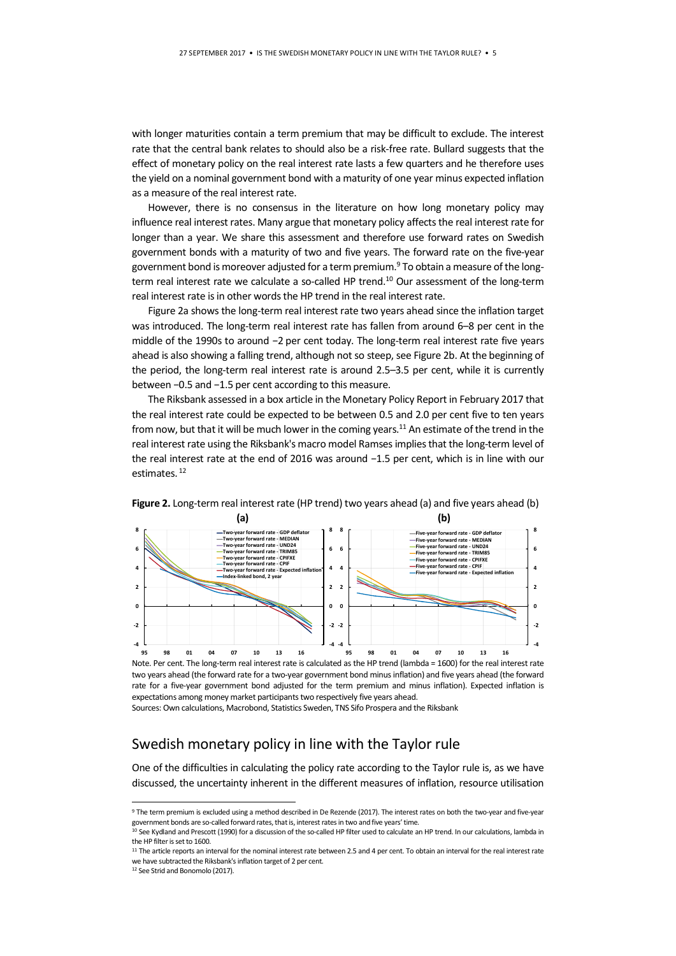with longer maturities contain a term premium that may be difficult to exclude. The interest rate that the central bank relates to should also be a risk-free rate. Bullard suggests that the effect of monetary policy on the real interest rate lasts a few quarters and he therefore uses the yield on a nominal government bond with a maturity of one year minus expected inflation as a measure of the real interest rate.

However, there is no consensus in the literature on how long monetary policy may influence real interest rates. Many argue that monetary policy affects the real interest rate for longer than a year. We share this assessment and therefore use forward rates on Swedish government bonds with a maturity of two and five years. The forward rate on the five-year government bond is moreover adjusted for a term premium.<sup>9</sup> To obtain a measure of the longterm real interest rate we calculate a so-called HP trend.<sup>10</sup> Our assessment of the long-term real interest rate is in other words the HP trend in the real interest rate.

Figure 2a shows the long-term real interest rate two years ahead since the inflation target was introduced. The long-term real interest rate has fallen from around 6–8 per cent in the middle of the 1990s to around −2 per cent today. The long-term real interest rate five years ahead is also showing a falling trend, although not so steep, see Figure 2b. At the beginning of the period, the long-term real interest rate is around 2.5–3.5 per cent, while it is currently between −0.5 and −1.5 per cent according to this measure.

The Riksbank assessed in a box article in the Monetary Policy Report in February 2017 that the real interest rate could be expected to be between 0.5 and 2.0 per cent five to ten years from now, but that it will be much lower in the coming years.<sup>11</sup> An estimate of the trend in the real interest rate using the Riksbank's macro model Ramses implies that the long-term level of the real interest rate at the end of 2016 was around −1.5 per cent, which is in line with our estimates.<sup>12</sup>



Figure 2. Long-term real interest rate (HP trend) two years ahead (a) and five years ahead (b)

Note. Per cent. The long-term real interest rate is calculated as the HP trend (lambda = 1600) for the real interest rate two years ahead (the forward rate for a two-year government bond minus inflation) and five years ahead (the forward rate for a five-year government bond adjusted for the term premium and minus inflation). Expected inflation is expectations among money market participants two respectively five years ahead.

Sources: Own calculations, Macrobond, Statistics Sweden, TNS Sifo Prospera and the Riksbank

## Swedish monetary policy in line with the Taylor rule

One of the difficulties in calculating the policy rate according to the Taylor rule is, as we have discussed, the uncertainty inherent in the different measures of inflation, resource utilisation

-

<sup>9</sup> The term premium is excluded using a method described in De Rezende (2017). The interest rates on both the two-year and five-year government bonds are so-called forward rates, that is, interest rates in two and five years' time.

<sup>&</sup>lt;sup>10</sup> See Kydland and Prescott (1990) for a discussion of the so-called HP filter used to calculate an HP trend. In our calculations, lambda in the HP filter is set to 1600.

<sup>11</sup> The article reports an interval for the nominal interest rate between 2.5 and 4 per cent. To obtain an interval for the real interest rate we have subtracted the Riksbank's inflation target of 2 per cent.

<sup>12</sup> See Strid and Bonomolo (2017).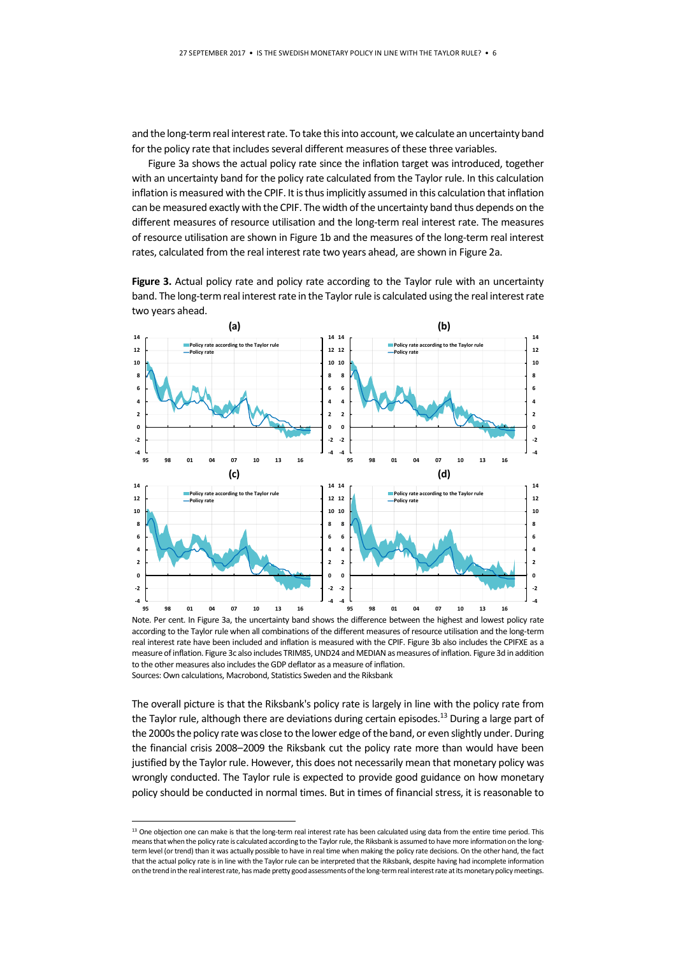and the long-term real interest rate. To take this into account, we calculate an uncertainty band for the policy rate that includes several different measures of these three variables.

Figure 3a shows the actual policy rate since the inflation target was introduced, together with an uncertainty band for the policy rate calculated from the Taylor rule. In this calculation inflation is measured with the CPIF. It is thus implicitly assumed in this calculation that inflation can be measured exactly with the CPIF. The width of the uncertainty band thus depends on the different measures of resource utilisation and the long-term real interest rate. The measures of resource utilisation are shown in Figure 1b and the measures of the long-term real interest rates, calculated from the real interest rate two years ahead, are shown in Figure 2a.

Figure 3. Actual policy rate and policy rate according to the Taylor rule with an uncertainty band. The long-term real interest rate in the Taylor rule is calculated using the real interest rate two years ahead.



Note. Per cent. In Figure 3a, the uncertainty band shows the difference between the highest and lowest policy rate according to the Taylor rule when all combinations of the different measures of resource utilisation and the long-term real interest rate have been included and inflation is measured with the CPIF. Figure 3b also includes the CPIFXE as a measure of inflation. Figure 3c also includes TRIM85, UND24 and MEDIAN as measures of inflation. Figure 3d in addition to the other measures also includes the GDP deflator as a measure of inflation. Sources: Own calculations, Macrobond, Statistics Sweden and the Riksbank

-

The overall picture is that the Riksbank's policy rate is largely in line with the policy rate from the Taylor rule, although there are deviations during certain episodes.<sup>13</sup> During a large part of the 2000s the policy rate was close to the lower edge of the band, or even slightly under. During the financial crisis 2008–2009 the Riksbank cut the policy rate more than would have been justified by the Taylor rule. However, this does not necessarily mean that monetary policy was wrongly conducted. The Taylor rule is expected to provide good guidance on how monetary policy should be conducted in normal times. But in times of financial stress, it is reasonable to

<sup>&</sup>lt;sup>13</sup> One objection one can make is that the long-term real interest rate has been calculated using data from the entire time period. This means that when the policy rate is calculated according to the Taylor rule, the Riksbank is assumed to have more information on the longterm level (or trend) than it was actually possible to have in real time when making the policy rate decisions. On the other hand, the fact that the actual policy rate is in line with the Taylor rule can be interpreted that the Riksbank, despite having had incomplete information on the trend in the real interest rate, has made pretty good assessments of the long-term real interest rate at its monetary policy meetings.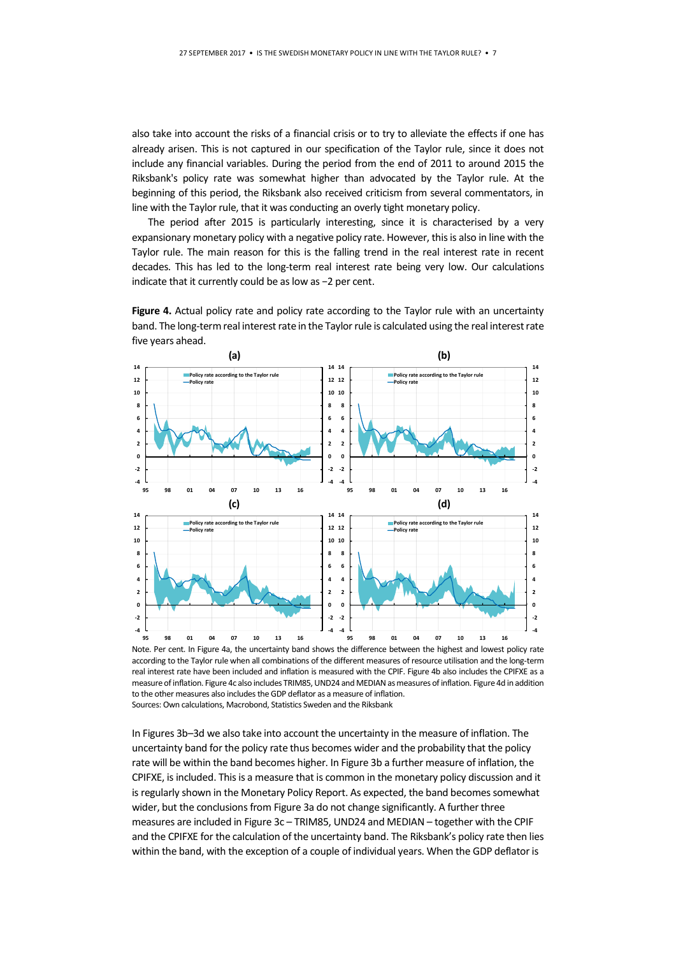also take into account the risks of a financial crisis or to try to alleviate the effects if one has already arisen. This is not captured in our specification of the Taylor rule, since it does not include any financial variables. During the period from the end of 2011 to around 2015 the Riksbank's policy rate was somewhat higher than advocated by the Taylor rule. At the beginning of this period, the Riksbank also received criticism from several commentators, in line with the Taylor rule, that it was conducting an overly tight monetary policy.

The period after 2015 is particularly interesting, since it is characterised by a very expansionary monetary policy with a negative policy rate. However, this is also in line with the Taylor rule. The main reason for this is the falling trend in the real interest rate in recent decades. This has led to the long-term real interest rate being very low. Our calculations indicate that it currently could be as low as −2 per cent.

Figure 4. Actual policy rate and policy rate according to the Taylor rule with an uncertainty band. The long-term real interest rate in the Taylor rule is calculated using the real interest rate five years ahead.





In Figures 3b–3d we also take into account the uncertainty in the measure of inflation. The uncertainty band for the policy rate thus becomes wider and the probability that the policy rate will be within the band becomes higher. In Figure 3b a further measure of inflation, the CPIFXE, is included. This is a measure that is common in the monetary policy discussion and it is regularly shown in the Monetary Policy Report. As expected, the band becomes somewhat wider, but the conclusions from Figure 3a do not change significantly. A further three measures are included in Figure 3c – TRIM85, UND24 and MEDIAN – together with the CPIF and the CPIFXE for the calculation of the uncertainty band. The Riksbank's policy rate then lies within the band, with the exception of a couple of individual years. When the GDP deflator is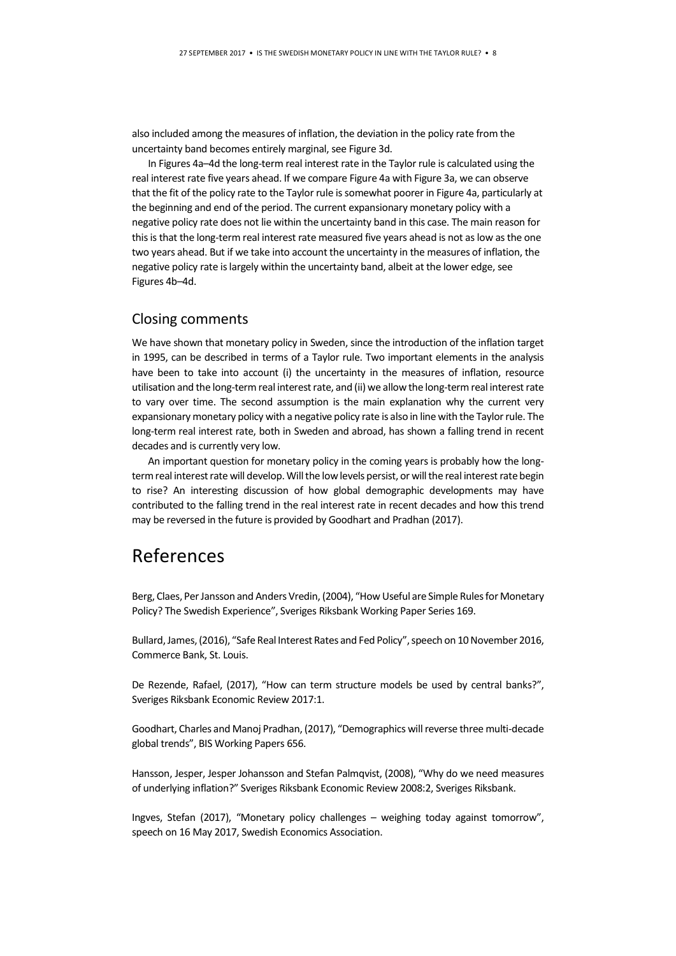also included among the measures of inflation, the deviation in the policy rate from the uncertainty band becomes entirely marginal, see Figure 3d.

In Figures 4a–4d the long-term real interest rate in the Taylor rule is calculated using the real interest rate five years ahead. If we compare Figure 4a with Figure 3a, we can observe that the fit of the policy rate to the Taylor rule is somewhat poorer in Figure 4a, particularly at the beginning and end of the period. The current expansionary monetary policy with a negative policy rate does not lie within the uncertainty band in this case. The main reason for this is that the long-term real interest rate measured five years ahead is not as low as the one two years ahead. But if we take into account the uncertainty in the measures of inflation, the negative policy rate is largely within the uncertainty band, albeit at the lower edge, see Figures 4b–4d.

### Closing comments

We have shown that monetary policy in Sweden, since the introduction of the inflation target in 1995, can be described in terms of a Taylor rule. Two important elements in the analysis have been to take into account (i) the uncertainty in the measures of inflation, resource utilisation and the long-term real interest rate, and (ii) we allow the long-term real interest rate to vary over time. The second assumption is the main explanation why the current very expansionary monetary policy with a negative policy rate is also in line with the Taylor rule. The long-term real interest rate, both in Sweden and abroad, has shown a falling trend in recent decades and is currently very low.

An important question for monetary policy in the coming years is probably how the longterm real interest rate will develop. Will the low levels persist, or will the real interest rate begin to rise? An interesting discussion of how global demographic developments may have contributed to the falling trend in the real interest rate in recent decades and how this trend may be reversed in the future is provided by Goodhart and Pradhan (2017).

# References

Berg, Claes, Per Jansson and Anders Vredin, (2004), "How Useful are Simple Rules for Monetary Policy? The Swedish Experience", Sveriges Riksbank Working Paper Series 169.

Bullard, James, (2016), "Safe Real Interest Rates and Fed Policy", speech on 10 November 2016, Commerce Bank, St. Louis.

De Rezende, Rafael, (2017), "How can term structure models be used by central banks?", Sveriges Riksbank Economic Review 2017:1.

Goodhart, Charles and Manoj Pradhan, (2017), "Demographics will reverse three multi-decade global trends", BIS Working Papers 656.

Hansson, Jesper, Jesper Johansson and Stefan Palmqvist, (2008), "Why do we need measures of underlying inflation?" Sveriges Riksbank Economic Review 2008:2, Sveriges Riksbank.

Ingves, Stefan (2017), "Monetary policy challenges – weighing today against tomorrow", speech on 16 May 2017, Swedish Economics Association.